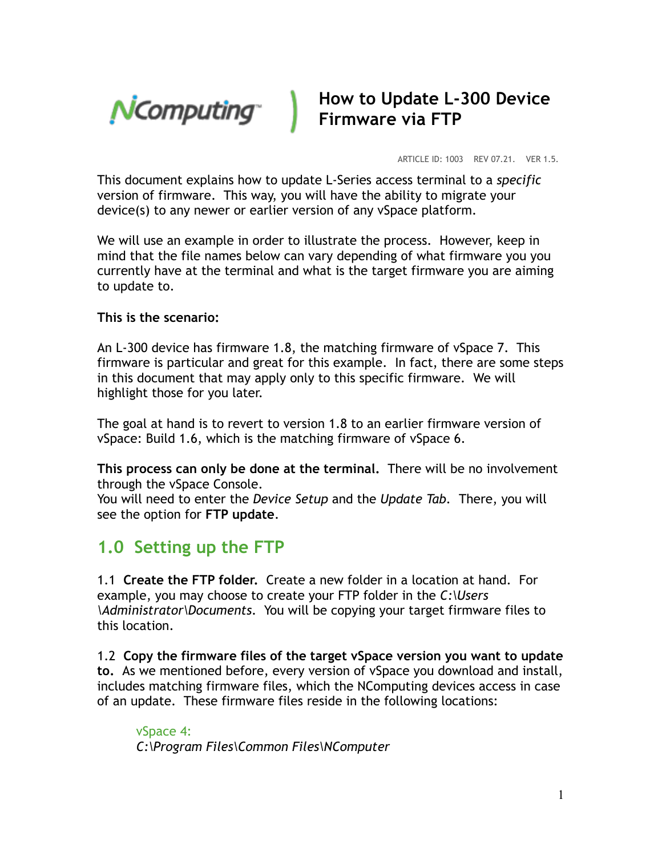

## **How to Update L-300 Device Firmware via FTP**

ARTICLE ID: 1003 REV 07.21. VER 1.5.

This document explains how to update L-Series access terminal to a *specific*  version of firmware. This way, you will have the ability to migrate your device(s) to any newer or earlier version of any vSpace platform.

We will use an example in order to illustrate the process. However, keep in mind that the file names below can vary depending of what firmware you you currently have at the terminal and what is the target firmware you are aiming to update to.

## **This is the scenario:**

An L-300 device has firmware 1.8, the matching firmware of vSpace 7. This firmware is particular and great for this example. In fact, there are some steps in this document that may apply only to this specific firmware. We will highlight those for you later.

The goal at hand is to revert to version 1.8 to an earlier firmware version of vSpace: Build 1.6, which is the matching firmware of vSpace 6.

**This process can only be done at the terminal.** There will be no involvement through the vSpace Console.

You will need to enter the *Device Setup* and the *Update Tab.* There, you will see the option for **FTP update**.

## **1.0 Setting up the FTP**

1.1 **Create the FTP folder.** Create a new folder in a location at hand. For example, you may choose to create your FTP folder in the *C:\Users \Administrator\Documents*. You will be copying your target firmware files to this location.

1.2 **Copy the firmware files of the target vSpace version you want to update to.** As we mentioned before, every version of vSpace you download and install, includes matching firmware files, which the NComputing devices access in case of an update. These firmware files reside in the following locations:

vSpace 4: *C:\Program Files\Common Files\NComputer*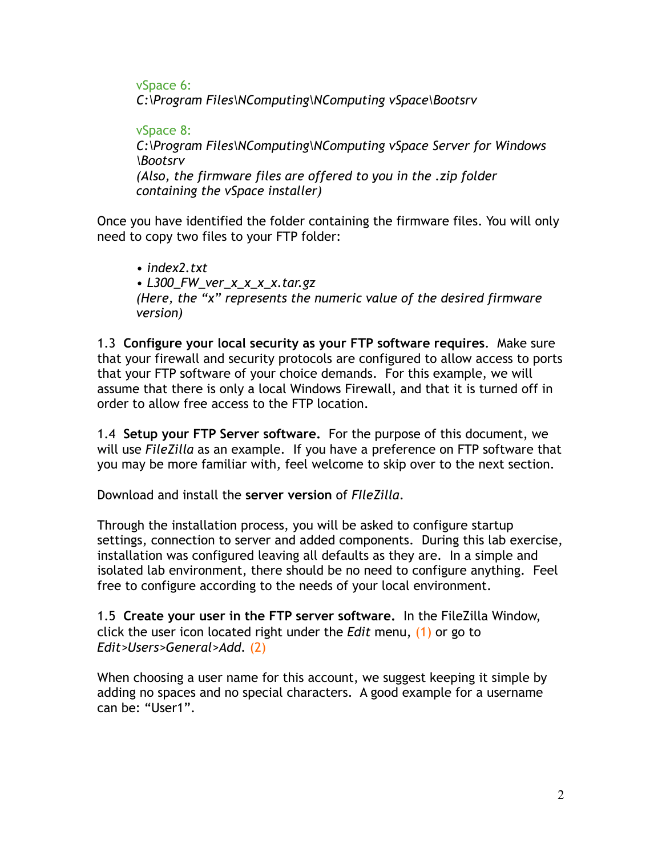vSpace 6: *C:\Program Files\NComputing\NComputing vSpace\Bootsrv* 

vSpace 8: *C:\Program Files\NComputing\NComputing vSpace Server for Windows \Bootsrv (Also, the firmware files are offered to you in the .zip folder containing the vSpace installer)*

Once you have identified the folder containing the firmware files. You will only need to copy two files to your FTP folder:

*• index2.txt • L300\_FW\_ver\_x\_x\_x\_x.tar.gz (Here, the "x" represents the numeric value of the desired firmware version)* 

1.3 **Configure your local security as your FTP software requires**. Make sure that your firewall and security protocols are configured to allow access to ports that your FTP software of your choice demands. For this example, we will assume that there is only a local Windows Firewall, and that it is turned off in order to allow free access to the FTP location.

1.4 **Setup your FTP Server software.** For the purpose of this document, we will use *FileZilla* as an example. If you have a preference on FTP software that you may be more familiar with, feel welcome to skip over to the next section.

Download and install the **server version** of *FIleZilla*.

Through the installation process, you will be asked to configure startup settings, connection to server and added components. During this lab exercise, installation was configured leaving all defaults as they are. In a simple and isolated lab environment, there should be no need to configure anything. Feel free to configure according to the needs of your local environment.

1.5 **Create your user in the FTP server software.** In the FileZilla Window, click the user icon located right under the *Edit* menu, (1) or go to *Edit>Users>General>Add.* (2)

When choosing a user name for this account, we suggest keeping it simple by adding no spaces and no special characters. A good example for a username can be: "User1".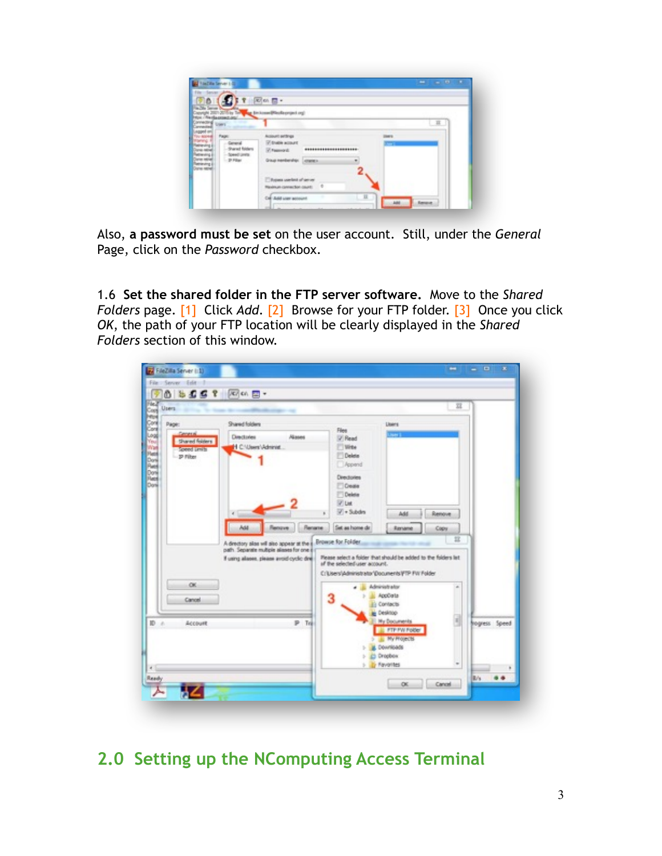| Savar John                                             | $\mathbb{R}$ on $\mathbb{R}$ .                                                             |       |
|--------------------------------------------------------|--------------------------------------------------------------------------------------------|-------|
|                                                        |                                                                                            |       |
|                                                        | BirthmedPleskeprijed.org                                                                   |       |
|                                                        |                                                                                            | 耳.    |
| Page<br><b>COLOR</b>                                   | Acoust entires<br>$-1$<br><b>ST-Dreble account</b><br>*********************<br>[7] Fascout | فالكا |
| gives (see)<br>- 21 Filter<br>maum<br><b>John Mill</b> | Graup memberships consensus                                                                |       |
|                                                        | Thomas weeken of server<br>$\cdot$<br>Revinue connection count:                            |       |

Also, **a password must be set** on the user account. Still, under the *General*  Page, click on the *Password* checkbox.

1.6 **Set the shared folder in the FTP server software.** Move to the *Shared Folders page.* [1] Click *Add.* [2] Browse for your FTP folder. [3] Once you click *OK*, the path of your FTP location will be clearly displayed in the *Shared Folders* section of this window.

| $0$ b $0$ $0$ $t$ $\sqrt{C}$ on $\frac{m}{C}$ .<br>Users                           |                                                                                                                                                                                                                                                               |                                                                                                                                                                                                                                                                                                                                          |                                                                                                                                                                            | 习                   |               |
|------------------------------------------------------------------------------------|---------------------------------------------------------------------------------------------------------------------------------------------------------------------------------------------------------------------------------------------------------------|------------------------------------------------------------------------------------------------------------------------------------------------------------------------------------------------------------------------------------------------------------------------------------------------------------------------------------------|----------------------------------------------------------------------------------------------------------------------------------------------------------------------------|---------------------|---------------|
| Page:<br><b>Service</b><br><b>Shared Rolders</b><br>Speed Limits<br>p riter<br>OK. | Shared folders<br><b>Climcksview</b><br><b>Aliases</b><br>1 C.WeenVAdninia<br>Rename<br>ш<br>1211<br>A directory also will also appear at the a Browse for Folder.<br>path. Separate multiple allases for one o<br>If using allases, please avoid cyclic dire | Files<br>V Read<br><b>With</b><br>Delete<br>Append<br>Directiones<br><b>Dose</b><br><b>Deleta</b><br>V List<br>$\overline{\mathscr{L}}$ = Subdirs<br>$\mathbf{B}$<br>Set as home de<br>Please select a folder that should be added to the folders lat<br>of the selected user account.<br>C/Lisers/Administrator/Documents/FTP FW Folder | Lloans<br><br>Add<br>Rentant<br>Administrator                                                                                                                              | Renove<br>Copy<br>耳 |               |
| Cancel<br><b>ID</b> = 0.<br>Account                                                | P To                                                                                                                                                                                                                                                          | 3                                                                                                                                                                                                                                                                                                                                        | AppCola<br><b>Jù</b> Contacts<br>Cesimon<br><b>Ny Documents</b><br><b>E FTP PW Potter</b><br><b>IL My Frojects</b><br><b>L</b> Downloads<br>C) Dropbox<br><b>Favorites</b> | $\sim$              | hogress Speed |

## **2.0 Setting up the NComputing Access Terminal**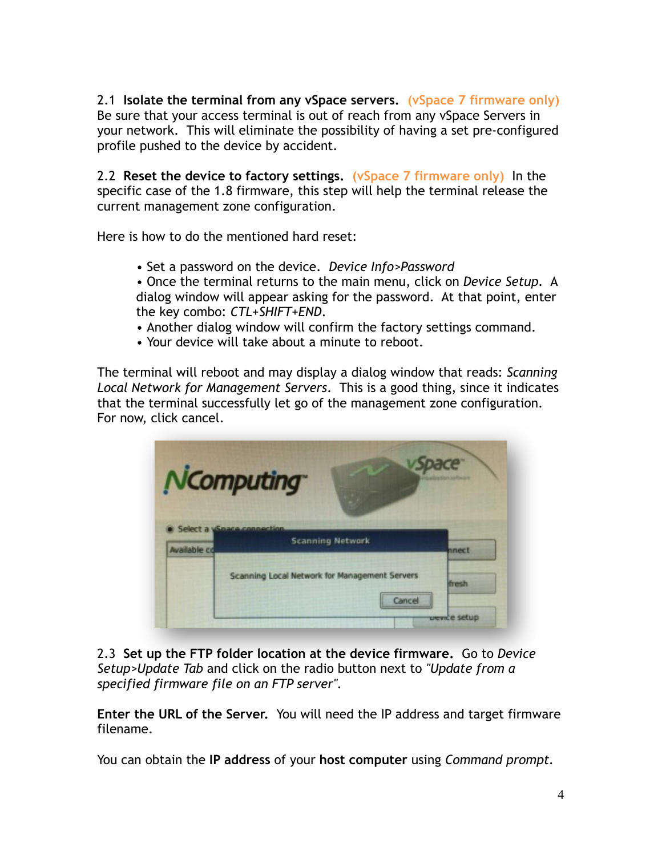2.1 **Isolate the terminal from any vSpace servers. (vSpace 7 firmware only)**  Be sure that your access terminal is out of reach from any vSpace Servers in your network. This will eliminate the possibility of having a set pre-configured profile pushed to the device by accident.

2.2 **Reset the device to factory settings. (vSpace 7 firmware only)** In the specific case of the 1.8 firmware, this step will help the terminal release the current management zone configuration.

Here is how to do the mentioned hard reset:

• Set a password on the device. *Device Info>Password*

• Once the terminal returns to the main menu, click on *Device Setup.* A dialog window will appear asking for the password. At that point, enter the key combo: *CTL+SHIFT+END*.

- Another dialog window will confirm the factory settings command.
- Your device will take about a minute to reboot.

The terminal will reboot and may display a dialog window that reads: *Scanning Local Network for Management Servers*. This is a good thing, since it indicates that the terminal successfully let go of the management zone configuration. For now, click cancel.

|                     | NComputing                                                  |                         |
|---------------------|-------------------------------------------------------------|-------------------------|
| <b>Available co</b> | Select a <i>Space connection</i><br><b>Scanning Network</b> | nnect                   |
|                     | Scanning Local Network for Management Servers<br>Cancel     | fresh.                  |
|                     |                                                             | <del>uen</del> če setup |

2.3 **Set up the FTP folder location at the device firmware.** Go to *Device Setup>Update Tab* and click on the radio button next to *"Update from a specified firmware file on an FTP server".* 

**Enter the URL of the Server.** You will need the IP address and target firmware filename.

You can obtain the **IP address** of your **host computer** using *Command prompt.*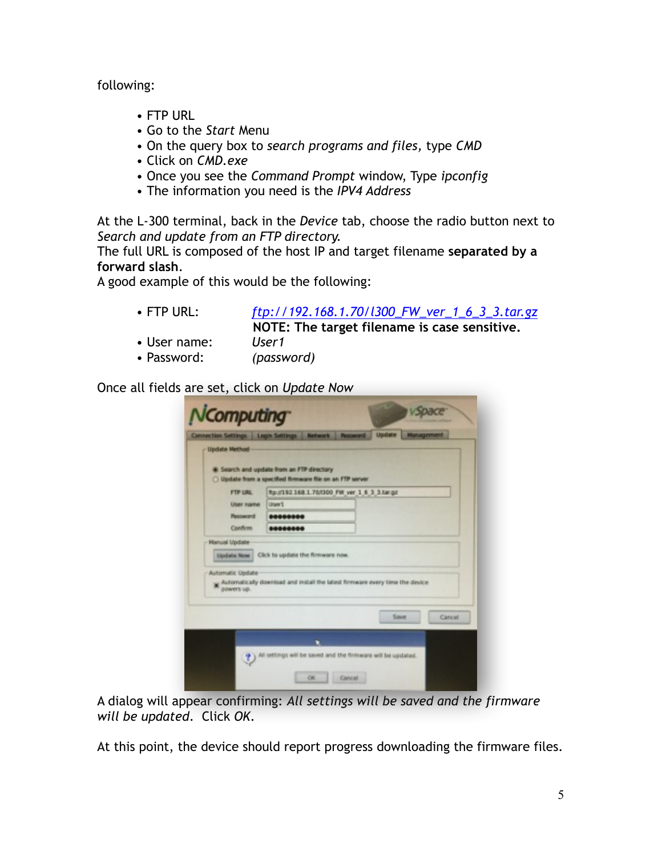following:

- FTP URL
- Go to the *Start* Menu
- On the query box to *search programs and files,* type *CMD*
- Click on *CMD.exe*
- Once you see the *Command Prompt* window, Type *ipconfig*
- The information you need is the *IPV4 Address*

At the L-300 terminal, back in the *Device* tab, choose the radio button next to *Search and update from an FTP directory.* 

The full URL is composed of the host IP and target filename **separated by a forward slash**.

A good example of this would be the following:

- FTP URL: *ftp://192.168.1.70/l300\_FW\_ver\_1\_6\_3\_3.tar.gz* **NOTE: The target filename is case sensitive.**
- User name: *User1*
- Password: *(password)*

Once all fields are set, click on *Update Now* 

| <b>Update Method</b>                                                                                   | Connection Settings   Login Settings |   | Network Password                              | Update | <b>Management</b> |
|--------------------------------------------------------------------------------------------------------|--------------------------------------|---|-----------------------------------------------|--------|-------------------|
|                                                                                                        |                                      |   |                                               |        |                   |
| C Search and update from an FTP directory<br>O lipdate from a specified firmware file on an FTP server |                                      |   |                                               |        |                   |
| FTP URL                                                                                                |                                      |   | ftp://192.168.1.70/1300 FW ver 1 6 3 3.tar.gz |        |                   |
| Ulser name                                                                                             | User1                                |   |                                               |        |                   |
| Pannword                                                                                               | ********                             |   |                                               |        |                   |
| Confirm                                                                                                | ********                             |   |                                               |        |                   |
| <b>Hanual Update</b>                                                                                   |                                      |   |                                               |        |                   |
| <b>Lipciate Now</b>                                                                                    | Click to update the firmware now.    |   |                                               |        |                   |
|                                                                                                        |                                      |   |                                               |        |                   |
| Automatic Update<br>Automatically download and install the latest firmware every time the device       |                                      |   |                                               |        |                   |
| powers up.                                                                                             |                                      |   |                                               |        |                   |
|                                                                                                        |                                      |   |                                               |        |                   |
|                                                                                                        |                                      |   |                                               |        | Save<br>Cancel    |
|                                                                                                        |                                      |   |                                               |        |                   |
|                                                                                                        |                                      | ٠ |                                               |        |                   |

A dialog will appear confirming: *All settings will be saved and the firmware will be updated*. Click *OK*.

At this point, the device should report progress downloading the firmware files.